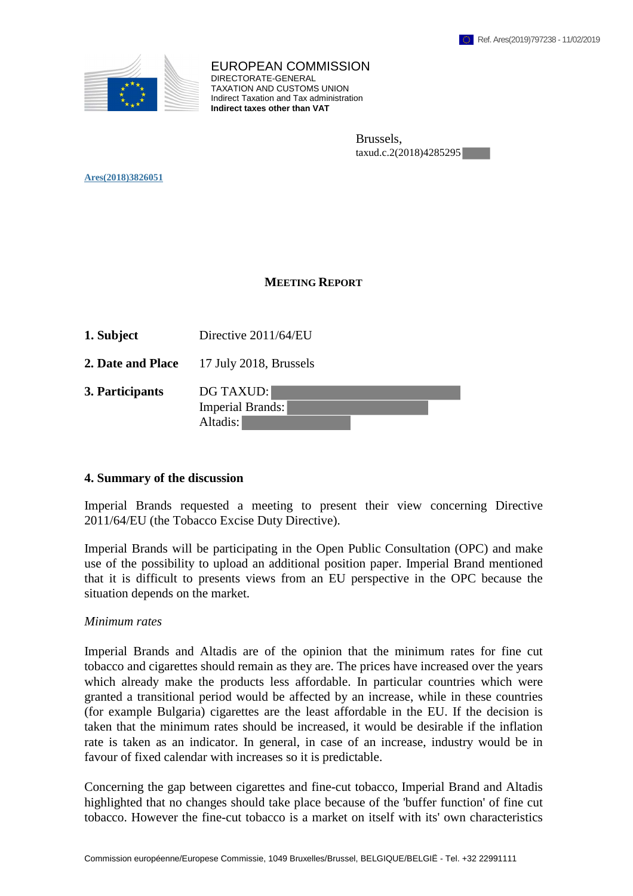

EUROPEAN COMMISSION DIRECTORATE-GENERAL TAXATION AND CUSTOMS UNION Indirect Taxation and Tax administration **Indirect taxes other than VAT**

> Brussels, taxud.c.2(2018)4285295

**Ares(2018)3826051** 

#### **MEETING REPORT**

- **1. Subject** Directive 2011/64/EU
- **2. Date and Place** 17 July 2018, Brussels
- **3. Participants** DG TAXUD:

Imperial Brands: Altadis:

#### **4. Summary of the discussion**

Imperial Brands requested a meeting to present their view concerning Directive 2011/64/EU (the Tobacco Excise Duty Directive).

Imperial Brands will be participating in the Open Public Consultation (OPC) and make use of the possibility to upload an additional position paper. Imperial Brand mentioned that it is difficult to presents views from an EU perspective in the OPC because the situation depends on the market.

#### *Minimum rates*

Imperial Brands and Altadis are of the opinion that the minimum rates for fine cut tobacco and cigarettes should remain as they are. The prices have increased over the years which already make the products less affordable. In particular countries which were granted a transitional period would be affected by an increase, while in these countries (for example Bulgaria) cigarettes are the least affordable in the EU. If the decision is taken that the minimum rates should be increased, it would be desirable if the inflation rate is taken as an indicator. In general, in case of an increase, industry would be in favour of fixed calendar with increases so it is predictable.

Concerning the gap between cigarettes and fine-cut tobacco, Imperial Brand and Altadis highlighted that no changes should take place because of the 'buffer function' of fine cut tobacco. However the fine-cut tobacco is a market on itself with its' own characteristics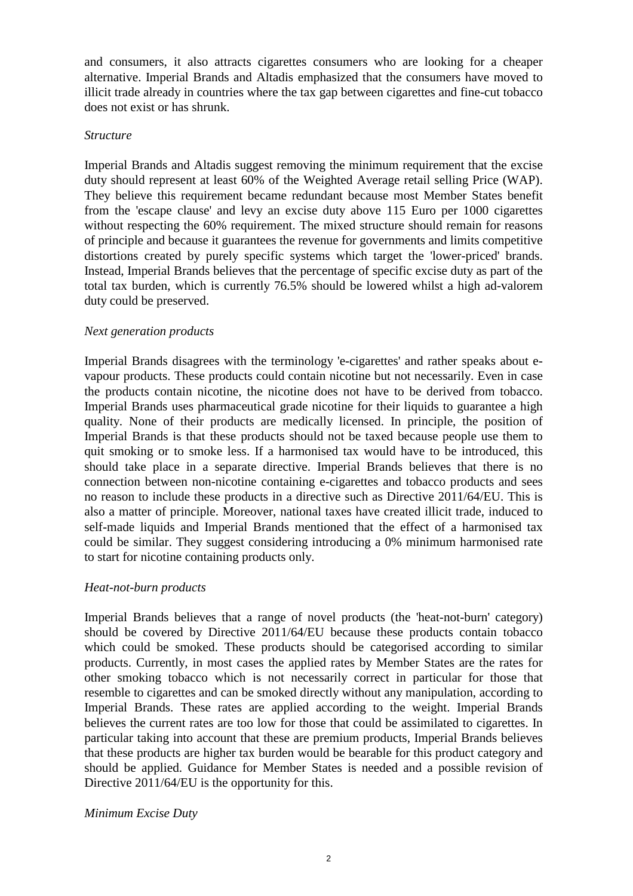and consumers, it also attracts cigarettes consumers who are looking for a cheaper alternative. Imperial Brands and Altadis emphasized that the consumers have moved to illicit trade already in countries where the tax gap between cigarettes and fine-cut tobacco does not exist or has shrunk.

## *Structure*

Imperial Brands and Altadis suggest removing the minimum requirement that the excise duty should represent at least 60% of the Weighted Average retail selling Price (WAP). They believe this requirement became redundant because most Member States benefit from the 'escape clause' and levy an excise duty above 115 Euro per 1000 cigarettes without respecting the 60% requirement. The mixed structure should remain for reasons of principle and because it guarantees the revenue for governments and limits competitive distortions created by purely specific systems which target the 'lower-priced' brands. Instead, Imperial Brands believes that the percentage of specific excise duty as part of the total tax burden, which is currently 76.5% should be lowered whilst a high ad-valorem duty could be preserved.

## *Next generation products*

Imperial Brands disagrees with the terminology 'e-cigarettes' and rather speaks about evapour products. These products could contain nicotine but not necessarily. Even in case the products contain nicotine, the nicotine does not have to be derived from tobacco. Imperial Brands uses pharmaceutical grade nicotine for their liquids to guarantee a high quality. None of their products are medically licensed. In principle, the position of Imperial Brands is that these products should not be taxed because people use them to quit smoking or to smoke less. If a harmonised tax would have to be introduced, this should take place in a separate directive. Imperial Brands believes that there is no connection between non-nicotine containing e-cigarettes and tobacco products and sees no reason to include these products in a directive such as Directive 2011/64/EU. This is also a matter of principle. Moreover, national taxes have created illicit trade, induced to self-made liquids and Imperial Brands mentioned that the effect of a harmonised tax could be similar. They suggest considering introducing a 0% minimum harmonised rate to start for nicotine containing products only.

# *Heat-not-burn products*

Imperial Brands believes that a range of novel products (the 'heat-not-burn' category) should be covered by Directive 2011/64/EU because these products contain tobacco which could be smoked. These products should be categorised according to similar products. Currently, in most cases the applied rates by Member States are the rates for other smoking tobacco which is not necessarily correct in particular for those that resemble to cigarettes and can be smoked directly without any manipulation, according to Imperial Brands. These rates are applied according to the weight. Imperial Brands believes the current rates are too low for those that could be assimilated to cigarettes. In particular taking into account that these are premium products, Imperial Brands believes that these products are higher tax burden would be bearable for this product category and should be applied. Guidance for Member States is needed and a possible revision of Directive 2011/64/EU is the opportunity for this.

## *Minimum Excise Duty*